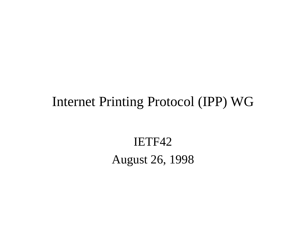#### Internet Printing Protocol (IPP) WG

IETF42 August 26, 1998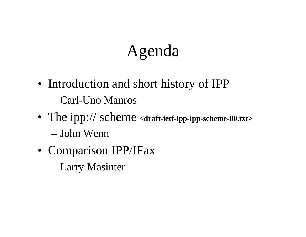# Agenda

- Introduction and short history of IPP – Carl-Uno Manros
- The ipp:// scheme **<draft-ietf-ipp-ipp-scheme-00.txt>** – John Wenn
- Comparison IPP/IFax
	- Larry Masinter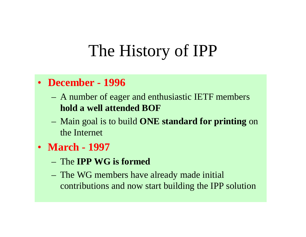#### • **December - 1996**

- A number of eager and enthusiastic IETF members **hold a well attended BOF**
- Main goal is to build **ONE standard for printing** on the Internet
- **March 1997**
	- The **IPP WG is formed**
	- The WG members have already made initial contributions and now start building the IPP solution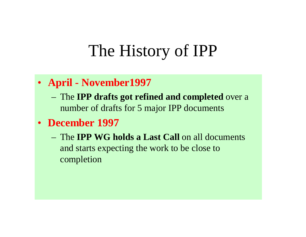#### • **April - November1997**

- The **IPP drafts got refined and completed** over a number of drafts for 5 major IPP documents
- **December 1997**
	- The **IPP WG holds a Last Call** on all documents and starts expecting the work to be close to completion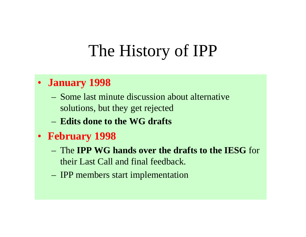#### • **January 1998**

- Some last minute discussion about alternative solutions, but they get rejected
- **Edits done to the WG drafts**
- **February 1998**
	- The **IPP WG hands over the drafts to the IESG** for their Last Call and final feedback.
	- IPP members start implementation